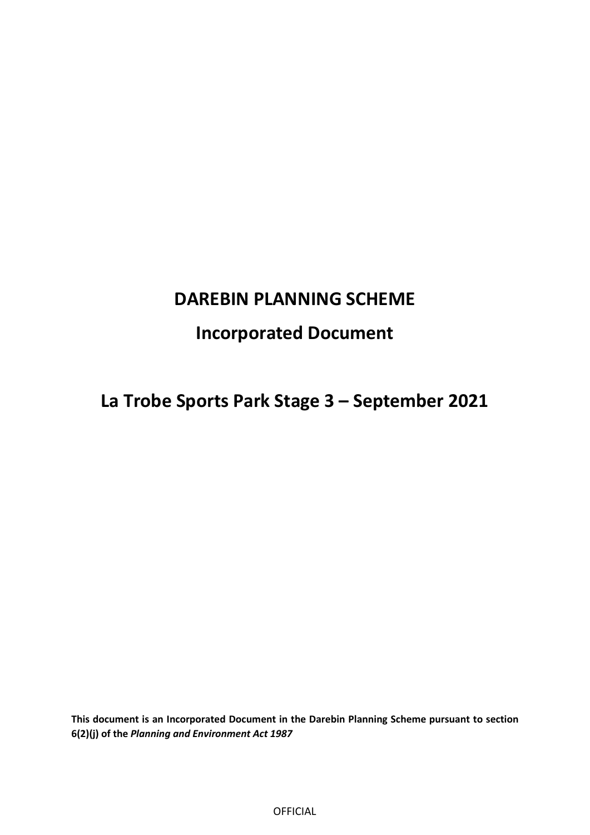# **DAREBIN PLANNING SCHEME**

# **Incorporated Document**

**La Trobe Sports Park Stage 3 – September 2021** 

**This document is an Incorporated Document in the Darebin Planning Scheme pursuant to section 6(2)(j) of the** *Planning and Environment Act 1987* 

OFFICIAL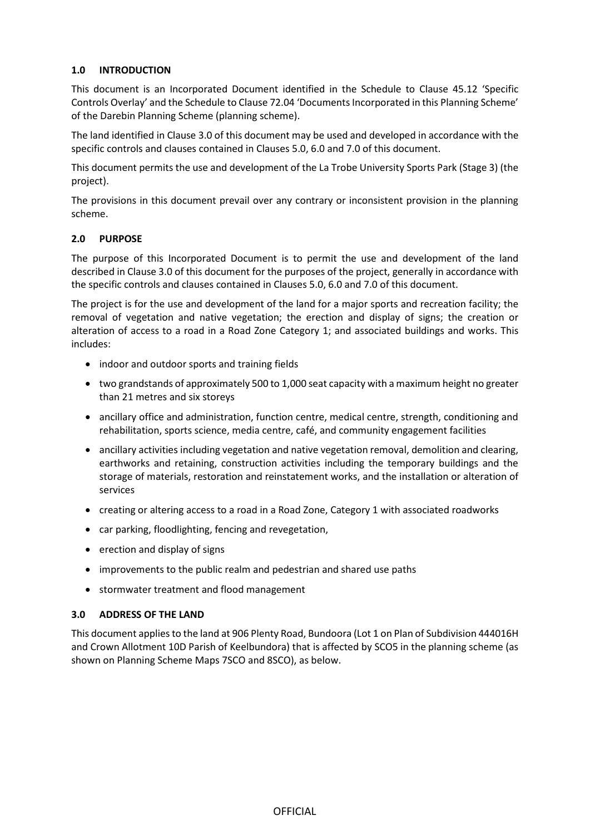# **1.0 INTRODUCTION**

This document is an Incorporated Document identified in the Schedule to Clause 45.12 'Specific Controls Overlay' and the Schedule to Clause 72.04 'Documents Incorporated in this Planning Scheme' of the Darebin Planning Scheme (planning scheme).

The land identified in Clause [3.0](#page-1-0) of this document may be used and developed in accordance with the specific controls and clauses contained in Clause[s 5.0,](#page-2-0) [6.0](#page-2-1) an[d 7.0](#page-2-2) of this document.

This document permits the use and development of the La Trobe University Sports Park (Stage 3) (the project).

The provisions in this document prevail over any contrary or inconsistent provision in the planning scheme.

## **2.0 PURPOSE**

The purpose of this Incorporated Document is to permit the use and development of the land described in Clause [3.0](#page-1-0) of this document for the purposes of the project, generally in accordance with the specific controls and clauses contained in Clauses [5.0,](#page-2-0) [6.0](#page-2-1) and [7.0](#page-2-2) of this document.

The project is for the use and development of the land for a major sports and recreation facility; the removal of vegetation and native vegetation; the erection and display of signs; the creation or alteration of access to a road in a Road Zone Category 1; and associated buildings and works. This includes:

- indoor and outdoor sports and training fields
- two grandstands of approximately 500 to 1,000 seat capacity with a maximum height no greater than 21 metres and six storeys
- ancillary office and administration, function centre, medical centre, strength, conditioning and rehabilitation, sports science, media centre, café, and community engagement facilities
- ancillary activities including vegetation and native vegetation removal, demolition and clearing, earthworks and retaining, construction activities including the temporary buildings and the storage of materials, restoration and reinstatement works, and the installation or alteration of services
- creating or altering access to a road in a Road Zone, Category 1 with associated roadworks
- car parking, floodlighting, fencing and revegetation,
- erection and display of signs
- improvements to the public realm and pedestrian and shared use paths
- stormwater treatment and flood management

## <span id="page-1-0"></span>**3.0 ADDRESS OF THE LAND**

This document applies to the land at 906 Plenty Road, Bundoora (Lot 1 on Plan of Subdivision 444016H and Crown Allotment 10D Parish of Keelbundora) that is affected by SCO5 in the planning scheme (as shown on Planning Scheme Maps 7SCO and 8SCO), as below.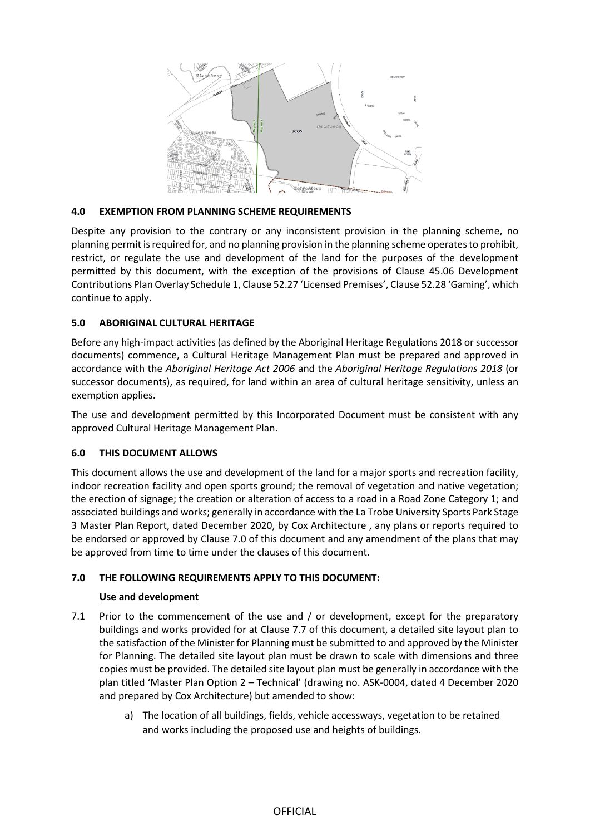

# **4.0 EXEMPTION FROM PLANNING SCHEME REQUIREMENTS**

Despite any provision to the contrary or any inconsistent provision in the planning scheme, no planning permit is required for, and no planning provision in the planning scheme operates to prohibit, restrict, or regulate the use and development of the land for the purposes of the development permitted by this document, with the exception of the provisions of Clause 45.06 Development Contributions Plan Overlay Schedule 1, Clause 52.27 'Licensed Premises', Clause 52.28 'Gaming', which continue to apply.

# <span id="page-2-0"></span>**5.0 ABORIGINAL CULTURAL HERITAGE**

Before any high-impact activities (as defined by the Aboriginal Heritage Regulations 2018 or successor documents) commence, a Cultural Heritage Management Plan must be prepared and approved in accordance with the *Aboriginal Heritage Act 2006* and the *Aboriginal Heritage Regulations 2018* (or successor documents), as required, for land within an area of cultural heritage sensitivity, unless an exemption applies.

The use and development permitted by this Incorporated Document must be consistent with any approved Cultural Heritage Management Plan.

# <span id="page-2-1"></span>**6.0 THIS DOCUMENT ALLOWS**

This document allows the use and development of the land for a major sports and recreation facility, indoor recreation facility and open sports ground; the removal of vegetation and native vegetation; the erection of signage; the creation or alteration of access to a road in a Road Zone Category 1; and associated buildings and works; generally in accordance with the La Trobe University Sports Park Stage 3 Master Plan Report, dated December 2020, by Cox Architecture , any plans or reports required to be endorsed or approved by Clause 7.0 of this document and any amendment of the plans that may be approved from time to time under the clauses of this document.

# <span id="page-2-2"></span>**7.0 THE FOLLOWING REQUIREMENTS APPLY TO THIS DOCUMENT:**

# **Use and development**

- 7.1 Prior to the commencement of the use and / or development, except for the preparatory buildings and works provided for at Clause 7.7 of this document, a detailed site layout plan to the satisfaction of the Minister for Planning must be submitted to and approved by the Minister for Planning. The detailed site layout plan must be drawn to scale with dimensions and three copies must be provided. The detailed site layout plan must be generally in accordance with the plan titled 'Master Plan Option 2 – Technical' (drawing no. ASK-0004, dated 4 December 2020 and prepared by Cox Architecture) but amended to show:
	- a) The location of all buildings, fields, vehicle accessways, vegetation to be retained and works including the proposed use and heights of buildings.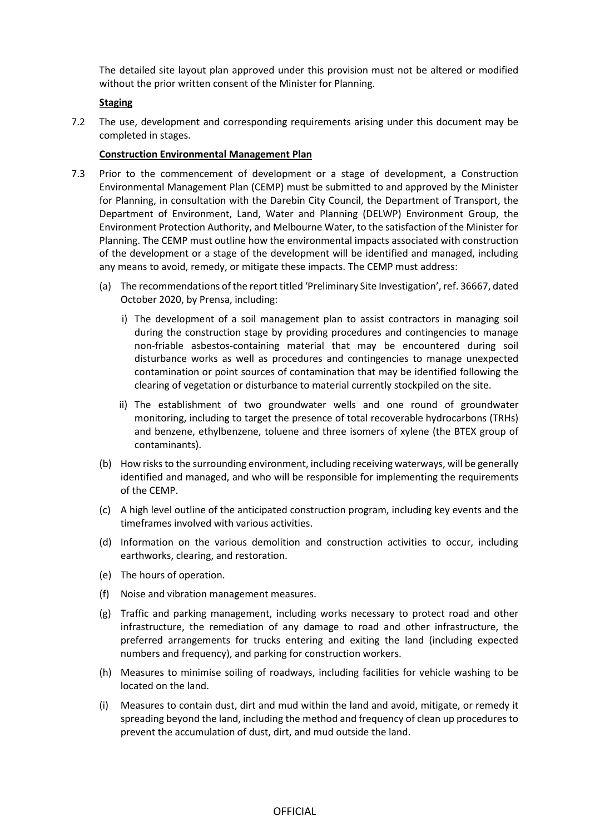The detailed site layout plan approved under this provision must not be altered or modified without the prior written consent of the Minister for Planning.

#### **Staging**

7.2 The use, development and corresponding requirements arising under this document may be completed in stages.

#### **Construction Environmental Management Plan**

- 7.3 Prior to the commencement of development or a stage of development, a Construction Environmental Management Plan (CEMP) must be submitted to and approved by the Minister for Planning, in consultation with the Darebin City Council, the Department of Transport, the Department of Environment, Land, Water and Planning (DELWP) Environment Group, the Environment Protection Authority, and Melbourne Water, to the satisfaction of the Minister for Planning. The CEMP must outline how the environmental impacts associated with construction of the development or a stage of the development will be identified and managed, including any means to avoid, remedy, or mitigate these impacts. The CEMP must address:
	- (a) The recommendations of the report titled 'Preliminary Site Investigation', ref. 36667, dated October 2020, by Prensa, including:
		- i) The development of a soil management plan to assist contractors in managing soil during the construction stage by providing procedures and contingencies to manage non-friable asbestos-containing material that may be encountered during soil disturbance works as well as procedures and contingencies to manage unexpected contamination or point sources of contamination that may be identified following the clearing of vegetation or disturbance to material currently stockpiled on the site.
		- ii) The establishment of two groundwater wells and one round of groundwater monitoring, including to target the presence of total recoverable hydrocarbons (TRHs) and benzene, ethylbenzene, toluene and three isomers of xylene (the BTEX group of contaminants).
	- (b) How risks to the surrounding environment, including receiving waterways, will be generally identified and managed, and who will be responsible for implementing the requirements of the CEMP.
	- (c) A high level outline of the anticipated construction program, including key events and the timeframes involved with various activities.
	- (d) Information on the various demolition and construction activities to occur, including earthworks, clearing, and restoration.
	- (e) The hours of operation.
	- (f) Noise and vibration management measures.
	- (g) Traffic and parking management, including works necessary to protect road and other infrastructure, the remediation of any damage to road and other infrastructure, the preferred arrangements for trucks entering and exiting the land (including expected numbers and frequency), and parking for construction workers.
	- (h) Measures to minimise soiling of roadways, including facilities for vehicle washing to be located on the land.
	- (i) Measures to contain dust, dirt and mud within the land and avoid, mitigate, or remedy it spreading beyond the land, including the method and frequency of clean up procedures to prevent the accumulation of dust, dirt, and mud outside the land.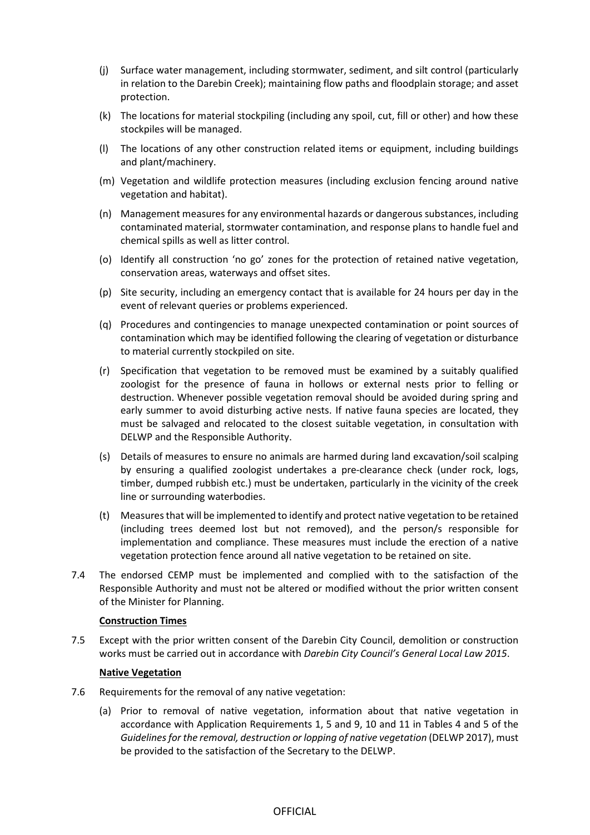- (j) Surface water management, including stormwater, sediment, and silt control (particularly in relation to the Darebin Creek); maintaining flow paths and floodplain storage; and asset protection.
- (k) The locations for material stockpiling (including any spoil, cut, fill or other) and how these stockpiles will be managed.
- (l) The locations of any other construction related items or equipment, including buildings and plant/machinery.
- (m) Vegetation and wildlife protection measures (including exclusion fencing around native vegetation and habitat).
- (n) Management measures for any environmental hazards or dangerous substances, including contaminated material, stormwater contamination, and response plans to handle fuel and chemical spills as well as litter control.
- (o) Identify all construction 'no go' zones for the protection of retained native vegetation, conservation areas, waterways and offset sites.
- (p) Site security, including an emergency contact that is available for 24 hours per day in the event of relevant queries or problems experienced.
- (q) Procedures and contingencies to manage unexpected contamination or point sources of contamination which may be identified following the clearing of vegetation or disturbance to material currently stockpiled on site.
- (r) Specification that vegetation to be removed must be examined by a suitably qualified zoologist for the presence of fauna in hollows or external nests prior to felling or destruction. Whenever possible vegetation removal should be avoided during spring and early summer to avoid disturbing active nests. If native fauna species are located, they must be salvaged and relocated to the closest suitable vegetation, in consultation with DELWP and the Responsible Authority.
- (s) Details of measures to ensure no animals are harmed during land excavation/soil scalping by ensuring a qualified zoologist undertakes a pre-clearance check (under rock, logs, timber, dumped rubbish etc.) must be undertaken, particularly in the vicinity of the creek line or surrounding waterbodies.
- (t) Measures that will be implemented to identify and protect native vegetation to be retained (including trees deemed lost but not removed), and the person/s responsible for implementation and compliance. These measures must include the erection of a native vegetation protection fence around all native vegetation to be retained on site.
- 7.4 The endorsed CEMP must be implemented and complied with to the satisfaction of the Responsible Authority and must not be altered or modified without the prior written consent of the Minister for Planning.

## **Construction Times**

7.5 Except with the prior written consent of the Darebin City Council, demolition or construction works must be carried out in accordance with *Darebin City Council's General Local Law 2015*.

#### **Native Vegetation**

- 7.6 Requirements for the removal of any native vegetation:
	- (a) Prior to removal of native vegetation, information about that native vegetation in accordance with Application Requirements 1, 5 and 9, 10 and 11 in Tables 4 and 5 of the *Guidelines for the removal, destruction or lopping of native vegetation* (DELWP 2017), must be provided to the satisfaction of the Secretary to the DELWP.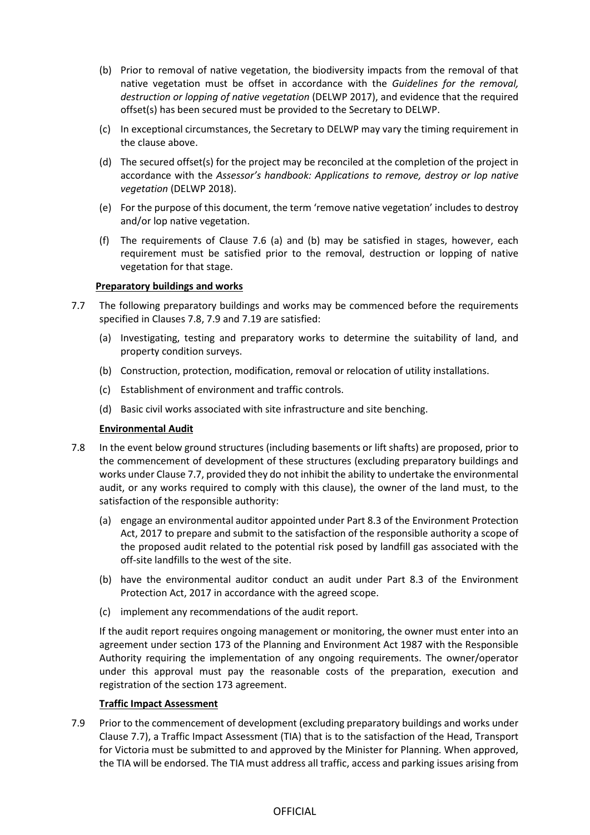- (b) Prior to removal of native vegetation, the biodiversity impacts from the removal of that native vegetation must be offset in accordance with the *Guidelines for the removal, destruction or lopping of native vegetation* (DELWP 2017), and evidence that the required offset(s) has been secured must be provided to the Secretary to DELWP.
- (c) In exceptional circumstances, the Secretary to DELWP may vary the timing requirement in the clause above.
- (d) The secured offset(s) for the project may be reconciled at the completion of the project in accordance with the *Assessor's handbook: Applications to remove, destroy or lop native vegetation* (DELWP 2018).
- (e) For the purpose of this document, the term 'remove native vegetation' includes to destroy and/or lop native vegetation.
- (f) The requirements of Clause 7.6 (a) and (b) may be satisfied in stages, however, each requirement must be satisfied prior to the removal, destruction or lopping of native vegetation for that stage.

## **Preparatory buildings and works**

- 7.7 The following preparatory buildings and works may be commenced before the requirements specified in Clauses 7.8, 7.9 and 7.19 are satisfied:
	- (a) Investigating, testing and preparatory works to determine the suitability of land, and property condition surveys.
	- (b) Construction, protection, modification, removal or relocation of utility installations.
	- (c) Establishment of environment and traffic controls.
	- (d) Basic civil works associated with site infrastructure and site benching.

## **Environmental Audit**

- 7.8 In the event below ground structures (including basements or lift shafts) are proposed, prior to the commencement of development of these structures (excluding preparatory buildings and works under Clause 7.7, provided they do not inhibit the ability to undertake the environmental audit, or any works required to comply with this clause), the owner of the land must, to the satisfaction of the responsible authority:
	- (a) engage an environmental auditor appointed under Part 8.3 of the Environment Protection Act, 2017 to prepare and submit to the satisfaction of the responsible authority a scope of the proposed audit related to the potential risk posed by landfill gas associated with the off-site landfills to the west of the site.
	- (b) have the environmental auditor conduct an audit under Part 8.3 of the Environment Protection Act, 2017 in accordance with the agreed scope.
	- (c) implement any recommendations of the audit report.

If the audit report requires ongoing management or monitoring, the owner must enter into an agreement under section 173 of the Planning and Environment Act 1987 with the Responsible Authority requiring the implementation of any ongoing requirements. The owner/operator under this approval must pay the reasonable costs of the preparation, execution and registration of the section 173 agreement.

## **Traffic Impact Assessment**

7.9 Prior to the commencement of development (excluding preparatory buildings and works under Clause 7.7), a Traffic Impact Assessment (TIA) that is to the satisfaction of the Head, Transport for Victoria must be submitted to and approved by the Minister for Planning. When approved, the TIA will be endorsed. The TIA must address all traffic, access and parking issues arising from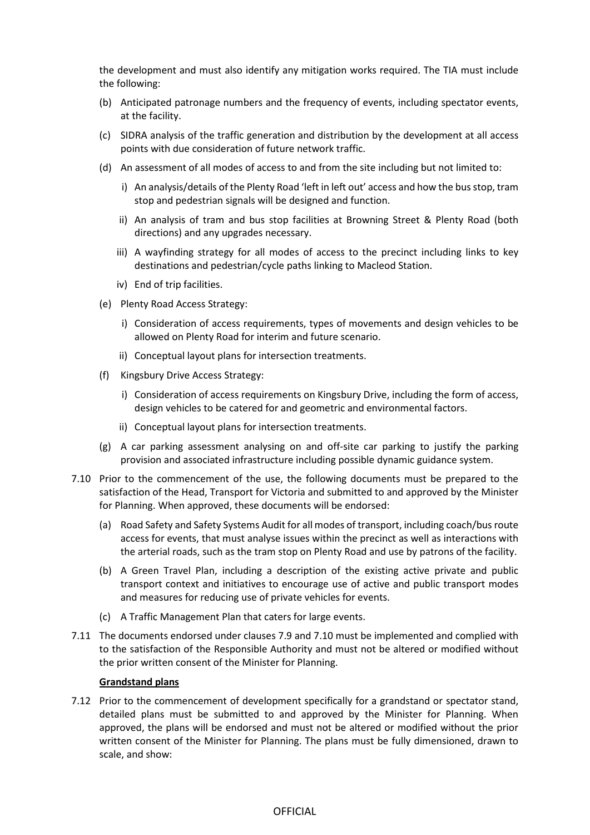the development and must also identify any mitigation works required. The TIA must include the following:

- (b) Anticipated patronage numbers and the frequency of events, including spectator events, at the facility.
- (c) SIDRA analysis of the traffic generation and distribution by the development at all access points with due consideration of future network traffic.
- (d) An assessment of all modes of access to and from the site including but not limited to:
	- i) An analysis/details of the Plenty Road 'left in left out' access and how the bus stop, tram stop and pedestrian signals will be designed and function.
	- ii) An analysis of tram and bus stop facilities at Browning Street & Plenty Road (both directions) and any upgrades necessary.
	- iii) A wayfinding strategy for all modes of access to the precinct including links to key destinations and pedestrian/cycle paths linking to Macleod Station.
	- iv) End of trip facilities.
- (e) Plenty Road Access Strategy:
	- i) Consideration of access requirements, types of movements and design vehicles to be allowed on Plenty Road for interim and future scenario.
	- ii) Conceptual layout plans for intersection treatments.
- (f) Kingsbury Drive Access Strategy:
	- i) Consideration of access requirements on Kingsbury Drive, including the form of access, design vehicles to be catered for and geometric and environmental factors.
	- ii) Conceptual layout plans for intersection treatments.
- (g) A car parking assessment analysing on and off-site car parking to justify the parking provision and associated infrastructure including possible dynamic guidance system.
- 7.10 Prior to the commencement of the use, the following documents must be prepared to the satisfaction of the Head, Transport for Victoria and submitted to and approved by the Minister for Planning. When approved, these documents will be endorsed:
	- (a) Road Safety and Safety Systems Audit for all modes of transport, including coach/bus route access for events, that must analyse issues within the precinct as well as interactions with the arterial roads, such as the tram stop on Plenty Road and use by patrons of the facility.
	- (b) A Green Travel Plan, including a description of the existing active private and public transport context and initiatives to encourage use of active and public transport modes and measures for reducing use of private vehicles for events.
	- (c) A Traffic Management Plan that caters for large events.
- 7.11 The documents endorsed under clauses 7.9 and 7.10 must be implemented and complied with to the satisfaction of the Responsible Authority and must not be altered or modified without the prior written consent of the Minister for Planning.

#### **Grandstand plans**

7.12 Prior to the commencement of development specifically for a grandstand or spectator stand, detailed plans must be submitted to and approved by the Minister for Planning. When approved, the plans will be endorsed and must not be altered or modified without the prior written consent of the Minister for Planning. The plans must be fully dimensioned, drawn to scale, and show: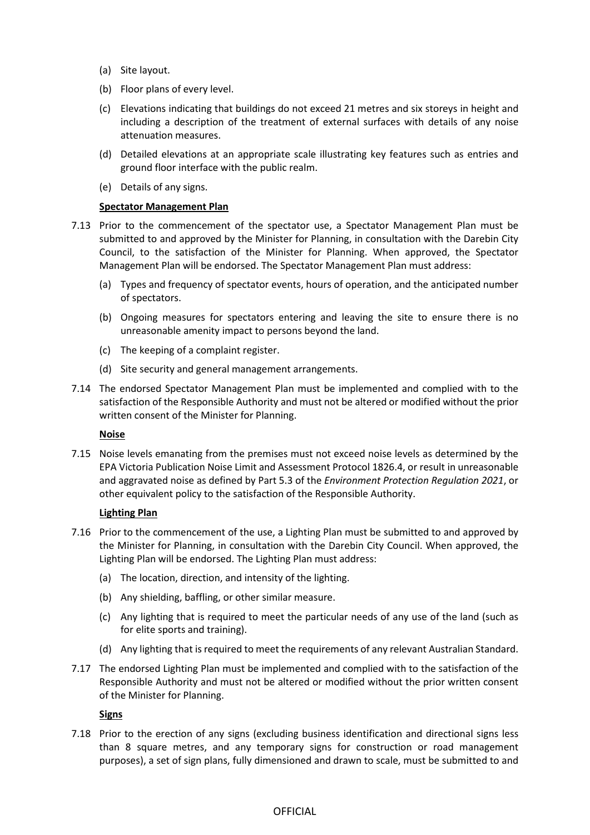- (a) Site layout.
- (b) Floor plans of every level.
- (c) Elevations indicating that buildings do not exceed 21 metres and six storeys in height and including a description of the treatment of external surfaces with details of any noise attenuation measures.
- (d) Detailed elevations at an appropriate scale illustrating key features such as entries and ground floor interface with the public realm.
- (e) Details of any signs.

## **Spectator Management Plan**

- 7.13 Prior to the commencement of the spectator use, a Spectator Management Plan must be submitted to and approved by the Minister for Planning, in consultation with the Darebin City Council, to the satisfaction of the Minister for Planning. When approved, the Spectator Management Plan will be endorsed. The Spectator Management Plan must address:
	- (a) Types and frequency of spectator events, hours of operation, and the anticipated number of spectators.
	- (b) Ongoing measures for spectators entering and leaving the site to ensure there is no unreasonable amenity impact to persons beyond the land.
	- (c) The keeping of a complaint register.
	- (d) Site security and general management arrangements.
- 7.14 The endorsed Spectator Management Plan must be implemented and complied with to the satisfaction of the Responsible Authority and must not be altered or modified without the prior written consent of the Minister for Planning.

## **Noise**

7.15 Noise levels emanating from the premises must not exceed noise levels as determined by the EPA Victoria Publication Noise Limit and Assessment Protocol 1826.4, or result in unreasonable and aggravated noise as defined by Part 5.3 of the *Environment Protection Regulation 2021*, or other equivalent policy to the satisfaction of the Responsible Authority.

## **Lighting Plan**

- 7.16 Prior to the commencement of the use, a Lighting Plan must be submitted to and approved by the Minister for Planning, in consultation with the Darebin City Council. When approved, the Lighting Plan will be endorsed. The Lighting Plan must address:
	- (a) The location, direction, and intensity of the lighting.
	- (b) Any shielding, baffling, or other similar measure.
	- (c) Any lighting that is required to meet the particular needs of any use of the land (such as for elite sports and training).
	- (d) Any lighting that is required to meet the requirements of any relevant Australian Standard.
- 7.17 The endorsed Lighting Plan must be implemented and complied with to the satisfaction of the Responsible Authority and must not be altered or modified without the prior written consent of the Minister for Planning.

## **Signs**

7.18 Prior to the erection of any signs (excluding business identification and directional signs less than 8 square metres, and any temporary signs for construction or road management purposes), a set of sign plans, fully dimensioned and drawn to scale, must be submitted to and

# **OFFICIAL**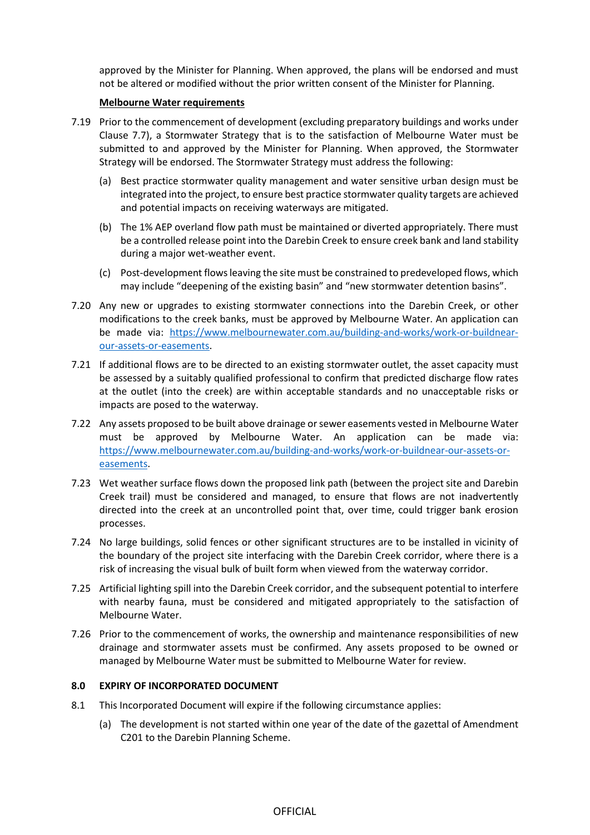approved by the Minister for Planning. When approved, the plans will be endorsed and must not be altered or modified without the prior written consent of the Minister for Planning.

#### **Melbourne Water requirements**

- 7.19 Prior to the commencement of development (excluding preparatory buildings and works under Clause 7.7), a Stormwater Strategy that is to the satisfaction of Melbourne Water must be submitted to and approved by the Minister for Planning. When approved, the Stormwater Strategy will be endorsed. The Stormwater Strategy must address the following:
	- (a) Best practice stormwater quality management and water sensitive urban design must be integrated into the project, to ensure best practice stormwater quality targets are achieved and potential impacts on receiving waterways are mitigated.
	- (b) The 1% AEP overland flow path must be maintained or diverted appropriately. There must be a controlled release point into the Darebin Creek to ensure creek bank and land stability during a major wet-weather event.
	- (c) Post-development flows leaving the site must be constrained to predeveloped flows, which may include "deepening of the existing basin" and "new stormwater detention basins".
- 7.20 Any new or upgrades to existing stormwater connections into the Darebin Creek, or other modifications to the creek banks, must be approved by Melbourne Water. An application can be made via: [https://www.melbournewater.com.au/building-and-works/work-or-buildnear](https://www.melbournewater.com.au/building-and-works/work-or-buildnear-our-assets-or-easements)[our-assets-or-easements.](https://www.melbournewater.com.au/building-and-works/work-or-buildnear-our-assets-or-easements)
- 7.21 If additional flows are to be directed to an existing stormwater outlet, the asset capacity must be assessed by a suitably qualified professional to confirm that predicted discharge flow rates at the outlet (into the creek) are within acceptable standards and no unacceptable risks or impacts are posed to the waterway.
- 7.22 Any assets proposed to be built above drainage or sewer easements vested in Melbourne Water must be approved by Melbourne Water. An application can be made via: [https://www.melbournewater.com.au/building-and-works/work-or-buildnear-our-assets-or](https://www.melbournewater.com.au/building-and-works/work-or-buildnear-our-assets-or-easements)[easements.](https://www.melbournewater.com.au/building-and-works/work-or-buildnear-our-assets-or-easements)
- 7.23 Wet weather surface flows down the proposed link path (between the project site and Darebin Creek trail) must be considered and managed, to ensure that flows are not inadvertently directed into the creek at an uncontrolled point that, over time, could trigger bank erosion processes.
- 7.24 No large buildings, solid fences or other significant structures are to be installed in vicinity of the boundary of the project site interfacing with the Darebin Creek corridor, where there is a risk of increasing the visual bulk of built form when viewed from the waterway corridor.
- 7.25 Artificial lighting spill into the Darebin Creek corridor, and the subsequent potential to interfere with nearby fauna, must be considered and mitigated appropriately to the satisfaction of Melbourne Water.
- 7.26 Prior to the commencement of works, the ownership and maintenance responsibilities of new drainage and stormwater assets must be confirmed. Any assets proposed to be owned or managed by Melbourne Water must be submitted to Melbourne Water for review.

## **8.0 EXPIRY OF INCORPORATED DOCUMENT**

- 8.1 This Incorporated Document will expire if the following circumstance applies:
	- (a) The development is not started within one year of the date of the gazettal of Amendment C201 to the Darebin Planning Scheme.